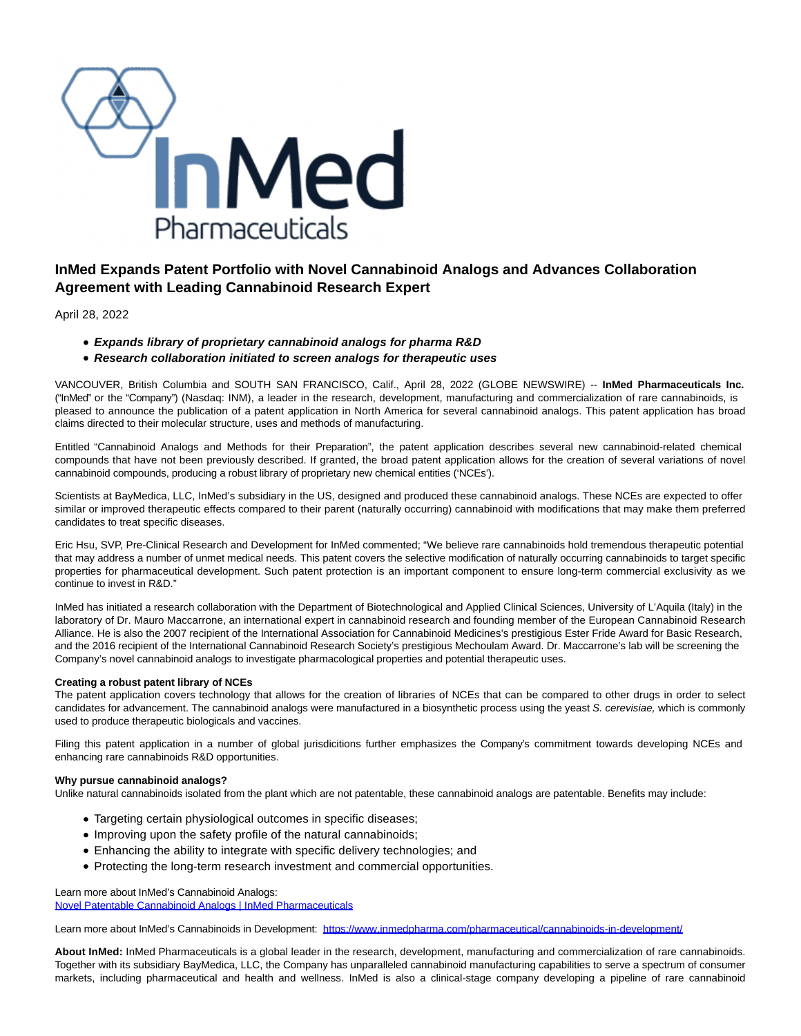

## **InMed Expands Patent Portfolio with Novel Cannabinoid Analogs and Advances Collaboration Agreement with Leading Cannabinoid Research Expert**

April 28, 2022

- **Expands library of proprietary cannabinoid analogs for pharma R&D**
- **Research collaboration initiated to screen analogs for therapeutic uses**

VANCOUVER, British Columbia and SOUTH SAN FRANCISCO, Calif., April 28, 2022 (GLOBE NEWSWIRE) -- **InMed Pharmaceuticals Inc.** ("InMed" or the "Company") (Nasdaq: INM), a leader in the research, development, manufacturing and commercialization of rare cannabinoids, is pleased to announce the publication of a patent application in North America for several cannabinoid analogs. This patent application has broad claims directed to their molecular structure, uses and methods of manufacturing.

Entitled "Cannabinoid Analogs and Methods for their Preparation", the patent application describes several new cannabinoid-related chemical compounds that have not been previously described. If granted, the broad patent application allows for the creation of several variations of novel cannabinoid compounds, producing a robust library of proprietary new chemical entities ('NCEs').

Scientists at BayMedica, LLC, InMed's subsidiary in the US, designed and produced these cannabinoid analogs. These NCEs are expected to offer similar or improved therapeutic effects compared to their parent (naturally occurring) cannabinoid with modifications that may make them preferred candidates to treat specific diseases.

Eric Hsu, SVP, Pre-Clinical Research and Development for InMed commented; "We believe rare cannabinoids hold tremendous therapeutic potential that may address a number of unmet medical needs. This patent covers the selective modification of naturally occurring cannabinoids to target specific properties for pharmaceutical development. Such patent protection is an important component to ensure long-term commercial exclusivity as we continue to invest in R&D."

InMed has initiated a research collaboration with the Department of Biotechnological and Applied Clinical Sciences, University of L'Aquila (Italy) in the laboratory of Dr. Mauro Maccarrone, an international expert in cannabinoid research and founding member of the European Cannabinoid Research Alliance. He is also the 2007 recipient of the International Association for Cannabinoid Medicines's prestigious Ester Fride Award for Basic Research, and the 2016 recipient of the International Cannabinoid Research Society's prestigious Mechoulam Award. Dr. Maccarrone's lab will be screening the Company's novel cannabinoid analogs to investigate pharmacological properties and potential therapeutic uses.

## **Creating a robust patent library of NCEs**

The patent application covers technology that allows for the creation of libraries of NCEs that can be compared to other drugs in order to select candidates for advancement. The cannabinoid analogs were manufactured in a biosynthetic process using the yeast S. cerevisiae, which is commonly used to produce therapeutic biologicals and vaccines.

Filing this patent application in a number of global jurisdicitions further emphasizes the Company's commitment towards developing NCEs and enhancing rare cannabinoids R&D opportunities.

## **Why pursue cannabinoid analogs?**

Unlike natural cannabinoids isolated from the plant which are not patentable, these cannabinoid analogs are patentable. Benefits may include:

- Targeting certain physiological outcomes in specific diseases;
- Improving upon the safety profile of the natural cannabinoids;
- Enhancing the ability to integrate with specific delivery technologies; and
- Protecting the long-term research investment and commercial opportunities.

Learn more about InMed's Cannabinoid Analogs:

[Novel Patentable Cannabinoid Analogs | InMed Pharmaceuticals](https://www.globenewswire.com/Tracker?data=ZK7npCZdyZBfueKzcKYN2oFadftOIclK7rekY5UyRTglfs1Cqs91eKlHgyWOr-7VK_CpRLW9fSS8ns28KRxnPcLrIl98midQbTqIhc3AsF5_gmLaTjJCpAgvB6yiRyOo1tQfs2i_vStu75S-vDIUdEyP5ZA7EbM6vkM3NPatbI4qoXnBhZBbmPg4bfV0aVIw-83QOHvmXg7hqqe3HfYiEQ==)

Learn more about InMed's Cannabinoids in Development: [https://www.inmedpharma.com/pharmaceutical/cannabinoids-in-development/](https://www.globenewswire.com/Tracker?data=HhM3P1HPeWGZZWRTq0Z3VkMq1-XtfIm_CD1GQqgXmZ3SYEkkDoopM1rUpXgKHF0yl_S9TAV23_gX0AXQYe8mYJIwCHhN3P7_7QGEbOzGt-3bDvdFXyAySeQcVbcaNP2AeuoG7EovP5DNr8ztuZRWtuv9mhQ4RdWi322uXOSLE3f5gD19Buh1u_lYFv17WtJqW6AWVnpm_RAwh2ROQR5u2Bevm8Lgu1WKSoF41qv5oeI=)

**About InMed:** InMed Pharmaceuticals is a global leader in the research, development, manufacturing and commercialization of rare cannabinoids. Together with its subsidiary BayMedica, LLC, the Company has unparalleled cannabinoid manufacturing capabilities to serve a spectrum of consumer markets, including pharmaceutical and health and wellness. InMed is also a clinical-stage company developing a pipeline of rare cannabinoid